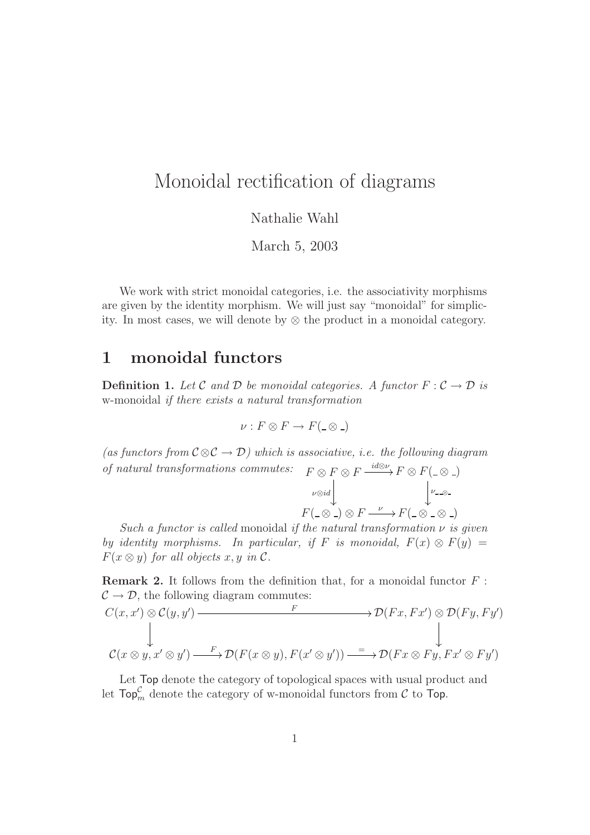## Monoidal rectification of diagrams

Nathalie Wahl

March 5, 2003

We work with strict monoidal categories, i.e. the associativity morphisms are given by the identity morphism. We will just say "monoidal" for simplicity. In most cases, we will denote by ⊗ the product in a monoidal category.

## 1 monoidal functors

**Definition 1.** Let C and D be monoidal categories. A functor  $F: \mathcal{C} \to \mathcal{D}$  is w-monoidal if there exists a natural transformation

$$
\nu: F \otimes F \to F(\mathfrak{-} \otimes \mathfrak{-})
$$

(as functors from  $C \otimes C \to D$ ) which is associative, i.e. the following diagram of natural transformations commutes:  $F \otimes F \otimes F \stackrel{id \otimes \nu}{\longrightarrow} F \otimes F(\square \otimes \square)$ 

$$
\nu \otimes id \downarrow \qquad \qquad \downarrow \nu_{\neg \neg \otimes \neg}
$$
\n
$$
F(\neg \otimes \neg) \otimes F \xrightarrow{\nu} F(\neg \otimes \neg \otimes \neg)
$$

Such a functor is called monoidal if the natural transformation  $\nu$  is given by identity morphisms. In particular, if F is monoidal,  $F(x) \otimes F(y) =$  $F(x \otimes y)$  for all objects x, y in C.

**Remark 2.** It follows from the definition that, for a monoidal functor  $F$ :  $\mathcal{C} \rightarrow \mathcal{D}$ , the following diagram commutes:

$$
C(x, x') \otimes C(y, y') \longrightarrow F \longrightarrow \mathcal{D}(Fx, Fx') \otimes \mathcal{D}(Fy, Fy')
$$
  
\n
$$
\downarrow \qquad \qquad \downarrow
$$
  
\n
$$
C(x \otimes y, x' \otimes y') \longrightarrow F \circ (F(x \otimes y), F(x' \otimes y')) \longrightarrow \mathcal{D}(Fx \otimes Fy, Fx' \otimes Fy')
$$

Let Top denote the category of topological spaces with usual product and let  $\text{Top}_m^C$  denote the category of w-monoidal functors from  $C$  to  $\text{Top}$ .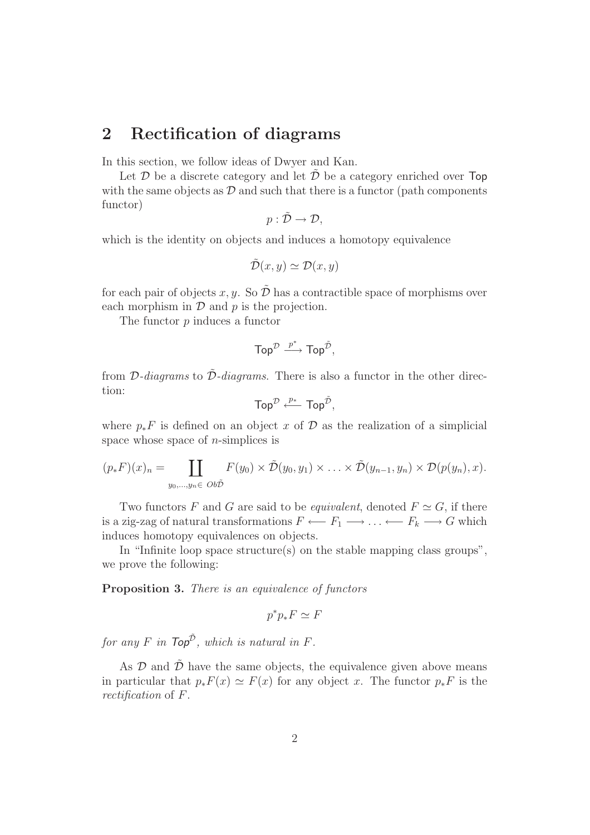## 2 Rectification of diagrams

In this section, we follow ideas of Dwyer and Kan.

Let  $D$  be a discrete category and let  $D$  be a category enriched over Top with the same objects as  $\mathcal D$  and such that there is a functor (path components functor)

$$
p:\tilde{\mathcal{D}}\to\mathcal{D},
$$

which is the identity on objects and induces a homotopy equivalence

$$
\tilde{\mathcal{D}}(x,y) \simeq \mathcal{D}(x,y)
$$

for each pair of objects x, y. So  $\tilde{\mathcal{D}}$  has a contractible space of morphisms over each morphism in  $\mathcal D$  and  $p$  is the projection.

The functor  $p$  induces a functor

$$
\mathsf{Top}^{\mathcal{D}} \xrightarrow{p^*} \mathsf{Top}^{\tilde{\mathcal{D}}},
$$

from D-diagrams to  $\tilde{\mathcal{D}}$ -diagrams. There is also a functor in the other direction:

$$
\mathsf{Top}^{\mathcal{D}} \stackrel{p_*}{\longleftarrow} \mathsf{Top}^{\tilde{\mathcal{D}}},
$$

where  $p_*F$  is defined on an object x of  $\mathcal D$  as the realization of a simplicial space whose space of  $n$ -simplices is

$$
(p_*F)(x)_n = \coprod_{y_0,\ldots,y_n \in Ob\tilde{\mathcal{D}}} F(y_0) \times \tilde{\mathcal{D}}(y_0,y_1) \times \ldots \times \tilde{\mathcal{D}}(y_{n-1},y_n) \times \mathcal{D}(p(y_n),x).
$$

Two functors F and G are said to be *equivalent*, denoted  $F \simeq G$ , if there is a zig-zag of natural transformations  $F \leftarrow F_1 \longrightarrow \ldots \leftarrow F_k \longrightarrow G$  which induces homotopy equivalences on objects.

In "Infinite loop space structure(s) on the stable mapping class groups", we prove the following:

Proposition 3. There is an equivalence of functors

$$
p^*p_*F \simeq F
$$

for any F in  $\text{Top}^{\tilde{\mathcal{D}}},$  which is natural in F.

As  $\mathcal D$  and  $\tilde{\mathcal D}$  have the same objects, the equivalence given above means in particular that  $p_*F(x) \simeq F(x)$  for any object x. The functor  $p_*F$  is the rectification of F.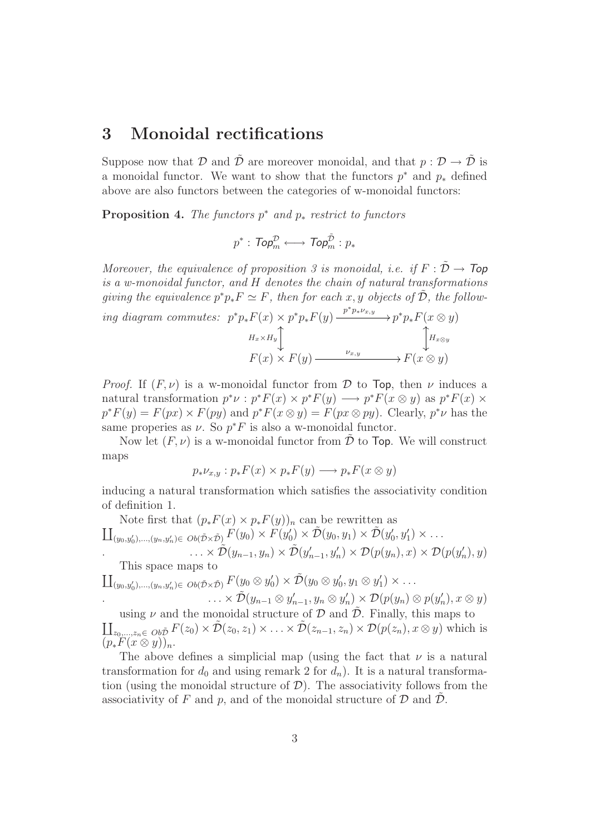## 3 Monoidal rectifications

Suppose now that D and  $\tilde{\mathcal{D}}$  are moreover monoidal, and that  $p: \mathcal{D} \to \tilde{\mathcal{D}}$  is a monoidal functor. We want to show that the functors  $p^*$  and  $p_*$  defined above are also functors between the categories of w-monoidal functors:

**Proposition 4.** The functors  $p^*$  and  $p_*$  restrict to functors

$$
p^*:\mathcal{T}\!\mathit{op}_m^\mathcal{D}\longleftrightarrow\mathcal{T}\!\mathit{op}_m^\mathcal{\tilde{D}}:p_*
$$

Moreover, the equivalence of proposition 3 is monoidal, i.e. if  $F : \mathcal{D} \to \mathcal{T}_{OP}$ is a w-monoidal functor, and H denotes the chain of natural transformations giving the equivalence  $p^*p_*F \simeq F$ , then for each x, y objects of  $\mathcal D$ , the follow-

$$
\begin{aligned}\n\text{ing diagram commutes:} \quad & p^* p_* F(x) \times p^* p_* F(y) \xrightarrow{p^* p_* \nu_{x,y}} p^* p_* F(x \otimes y) \\
& H_{x} \times H_y \downarrow \qquad \qquad \downarrow \\
& F(x) \times F(y) \xrightarrow{\nu_{x,y}} F(x \otimes y)\n\end{aligned}
$$

*Proof.* If  $(F, \nu)$  is a w-monoidal functor from  $\mathcal D$  to Top, then  $\nu$  induces a natural transformation  $p^*\nu : p^*F(x) \times p^*F(y) \longrightarrow p^*F(x \otimes y)$  as  $p^*F(x) \times p^*F(y)$  $p^*F(y) = F(px) \times F(py)$  and  $p^*F(x \otimes y) = F(px \otimes py)$ . Clearly,  $p^*\nu$  has the same properies as  $\nu$ . So  $p^*F$  is also a w-monoidal functor.

Now let  $(F, \nu)$  is a w-monoidal functor from  $\tilde{\mathcal{D}}$  to Top. We will construct maps

$$
p_*\nu_{x,y}: p_*F(x)\times p_*F(y)\longrightarrow p_*F(x\otimes y)
$$

inducing a natural transformation which satisfies the associativity condition of definition 1.

 $\coprod_{(y_0,y'_0),...,(y_n,y'_n)\in Ob(\tilde{D}\times\tilde{D})} F(y_0)\times F(y'_0)\times \tilde{D}(y_0,y_1)\times \tilde{D}(y'_0,y'_1)\times \ldots$ Note first that  $(p_*F(x) \times p_*F(y))_n$  can be rewritten as  $\ldots \times \tilde{\mathcal{D}}(y_{n-1}, y_n) \times \tilde{\mathcal{D}}(y'_{n-1}, y'_n) \times \mathcal{D}(p(y_n), x) \times \mathcal{D}(p(y'_n), y)$ This space maps to

 $\coprod_{(y_0,y'_0),...,(y_n,y'_n)\in Ob(\tilde{\mathcal{D}}\times\tilde{\mathcal{D}})}F(y_0\otimes y'_0)\times \tilde{\mathcal{D}}(y_0\otimes y'_0,y_1\otimes y'_1)\times \ldots$ 

 $\dots \times \tilde{\mathcal{D}}(y_{n-1} \otimes y'_{n-1}, y_n \otimes y'_n) \times \mathcal{D}(p(y_n) \otimes p(y'_n), x \otimes y)$ 

using  $\nu$  and the monoidal structure of  $\mathcal D$  and  $\tilde{\mathcal D}$ . Finally, this maps to  $\coprod_{z_0,\ldots,z_n\in Ob\tilde{\mathcal D}} F(z_0)\times \tilde{\mathcal D}(z_0,z_1)\times\ldots\times \tilde{\mathcal D}(z_{n-1},z_n)\times \mathcal D(p(z_n),x\otimes y)$  which is using  $\nu$  and the monoidal structure of  $\mathcal D$  and  $\tilde{\mathcal D}$ . Finally, this maps to  $(p_*F(x\otimes y))_n$ .

The above defines a simplicial map (using the fact that  $\nu$  is a natural transformation for  $d_0$  and using remark 2 for  $d_n$ ). It is a natural transformation (using the monoidal structure of  $\mathcal{D}$ ). The associativity follows from the associativity of F and p, and of the monoidal structure of  $D$  and  $D$ .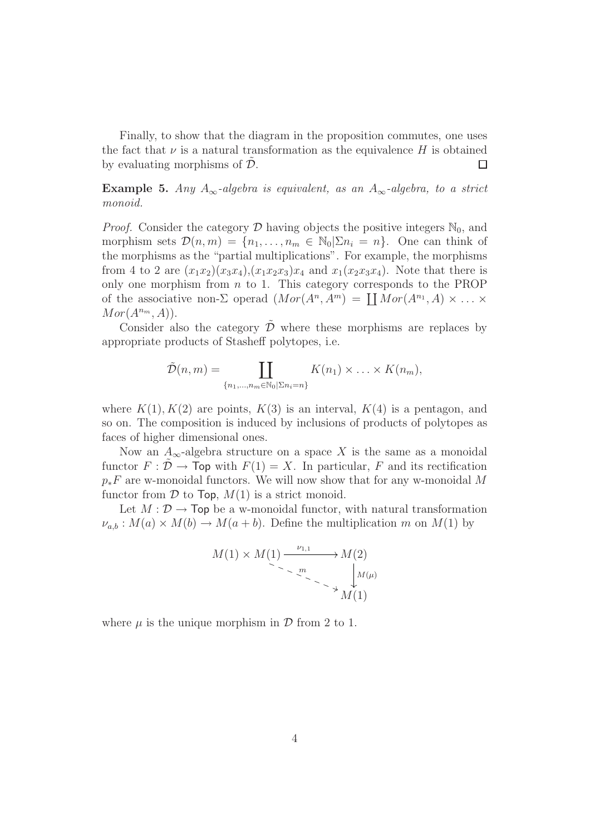Finally, to show that the diagram in the proposition commutes, one uses the fact that  $\nu$  is a natural transformation as the equivalence H is obtained by evaluating morphisms of  $\mathcal{D}$ .  $\Box$ 

Example 5. Any  $A_{\infty}$ -algebra is equivalent, as an  $A_{\infty}$ -algebra, to a strict monoid.

*Proof.* Consider the category  $\mathcal D$  having objects the positive integers  $\mathbb N_0$ , and morphism sets  $\mathcal{D}(n,m) = \{n_1,\ldots,n_m \in \mathbb{N}_0 | \Sigma n_i = n\}.$  One can think of the morphisms as the "partial multiplications". For example, the morphisms from 4 to 2 are  $(x_1x_2)(x_3x_4)$ ,  $(x_1x_2x_3)x_4$  and  $x_1(x_2x_3x_4)$ . Note that there is only one morphism from  $n$  to 1. This category corresponds to the PROP of the associative non-Σ operad  $(Mor(A^n, A^m) = \coprod Mor(A^{n_1}, A) \times ... \times$  $Mor(A^{n_m}, A)).$ 

Consider also the category  $\mathcal D$  where these morphisms are replaces by appropriate products of Stasheff polytopes, i.e.

$$
\tilde{\mathcal{D}}(n,m) = \coprod_{\{n_1,\dots,n_m \in \mathbb{N}_0 \mid \Sigma n_i = n\}} K(n_1) \times \dots \times K(n_m),
$$

where  $K(1)$ ,  $K(2)$  are points,  $K(3)$  is an interval,  $K(4)$  is a pentagon, and so on. The composition is induced by inclusions of products of polytopes as faces of higher dimensional ones.

Now an  $A_{\infty}$ -algebra structure on a space X is the same as a monoidal functor  $F : \mathcal{D} \to \mathsf{Top}$  with  $F(1) = X$ . In particular, F and its rectification  $p_*F$  are w-monoidal functors. We will now show that for any w-monoidal M functor from  $D$  to Top,  $M(1)$  is a strict monoid.

Let  $M : \mathcal{D} \to \mathsf{Top}$  be a w-monoidal functor, with natural transformation  $\nu_{a,b}: M(a) \times M(b) \to M(a+b)$ . Define the multiplication m on  $M(1)$  by

$$
M(1) \times M(1) \xrightarrow{\nu_{1,1}} M(2)
$$
  
\n
$$
\xrightarrow{\cdots} M(\mu)
$$
  
\n
$$
\downarrow M(\mu)
$$
  
\n
$$
M(1)
$$

where  $\mu$  is the unique morphism in  $\mathcal D$  from 2 to 1.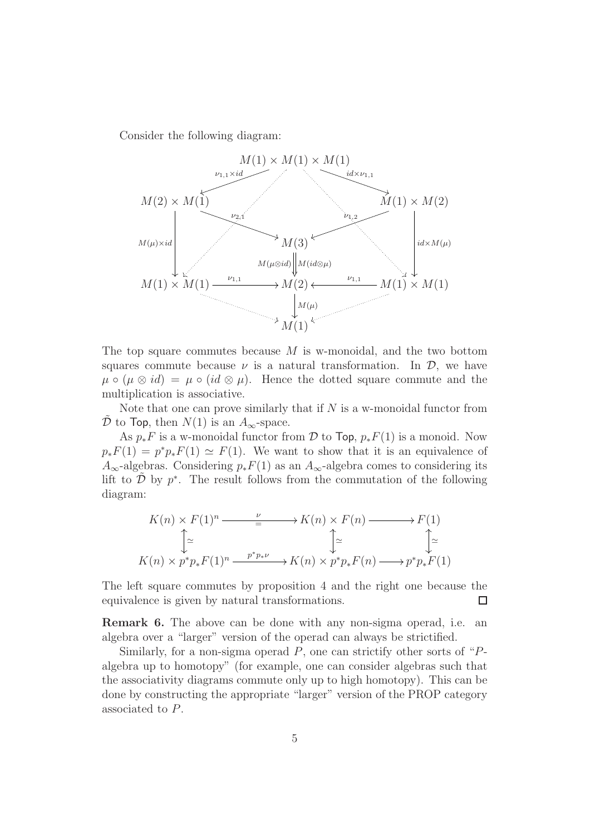Consider the following diagram:



The top square commutes because  $M$  is w-monoidal, and the two bottom squares commute because  $\nu$  is a natural transformation. In  $\mathcal{D}$ , we have  $\mu \circ (\mu \otimes id) = \mu \circ (id \otimes \mu)$ . Hence the dotted square commute and the multiplication is associative.

Note that one can prove similarly that if  $N$  is a w-monoidal functor from D to Top, then  $N(1)$  is an  $A_{\infty}$ -space.

As  $p_*F$  is a w-monoidal functor from  $\mathcal D$  to Top,  $p_*F(1)$  is a monoid. Now  $p_*F(1) = p^*p_*F(1) \simeq F(1)$ . We want to show that it is an equivalence of  $A_{\infty}$ -algebras. Considering  $p_{*}F(1)$  as an  $A_{\infty}$ -algebra comes to considering its lift to  $\mathcal D$  by  $p^*$ . The result follows from the commutation of the following diagram:

$$
K(n) \times F(1)^n \xrightarrow{\nu} K(n) \times F(n) \longrightarrow F(1)
$$
  
\n
$$
\updownarrow \simeq \qquad \qquad \downarrow \simeq \qquad \qquad \downarrow \simeq
$$
  
\n
$$
K(n) \times p^* p_* F(1)^n \xrightarrow{\quad p^* p_* \nu} K(n) \times p^* p_* F(n) \longrightarrow p^* p_* F(1)
$$

The left square commutes by proposition 4 and the right one because the equivalence is given by natural transformations. □

Remark 6. The above can be done with any non-sigma operad, i.e. an algebra over a "larger" version of the operad can always be strictified.

Similarly, for a non-sigma operad  $P$ , one can strictify other sorts of " $P$ algebra up to homotopy" (for example, one can consider algebras such that the associativity diagrams commute only up to high homotopy). This can be done by constructing the appropriate "larger" version of the PROP category associated to P.